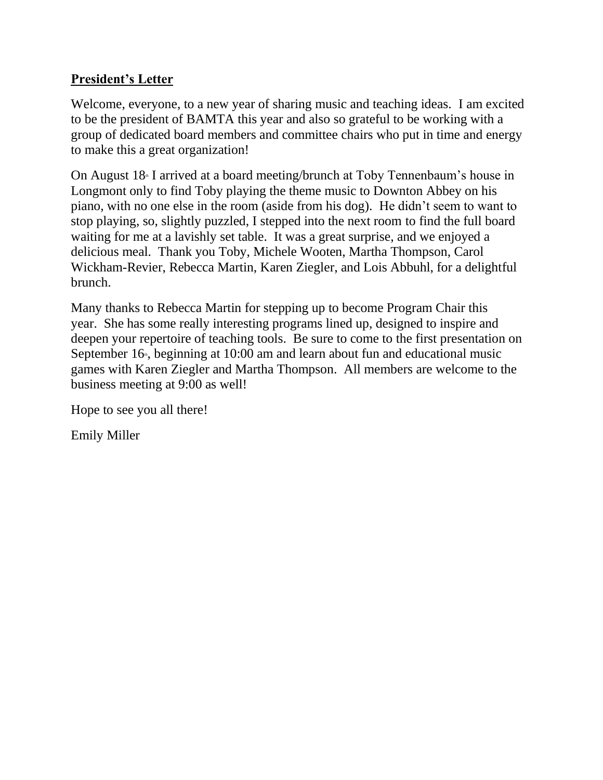## **President's Letter**

Welcome, everyone, to a new year of sharing music and teaching ideas. I am excited to be the president of BAMTA this year and also so grateful to be working with a group of dedicated board members and committee chairs who put in time and energy to make this a great organization!

On August  $18<sup>*</sup>$  I arrived at a board meeting/brunch at Toby Tennenbaum's house in Longmont only to find Toby playing the theme music to Downton Abbey on his piano, with no one else in the room (aside from his dog). He didn't seem to want to stop playing, so, slightly puzzled, I stepped into the next room to find the full board waiting for me at a lavishly set table. It was a great surprise, and we enjoyed a delicious meal. Thank you Toby, Michele Wooten, Martha Thompson, Carol Wickham-Revier, Rebecca Martin, Karen Ziegler, and Lois Abbuhl, for a delightful brunch.

Many thanks to Rebecca Martin for stepping up to become Program Chair this year. She has some really interesting programs lined up, designed to inspire and deepen your repertoire of teaching tools. Be sure to come to the first presentation on September  $16$ <sup>t</sup>, beginning at  $10:00$  am and learn about fun and educational music games with Karen Ziegler and Martha Thompson. All members are welcome to the business meeting at 9:00 as well!

Hope to see you all there!

Emily Miller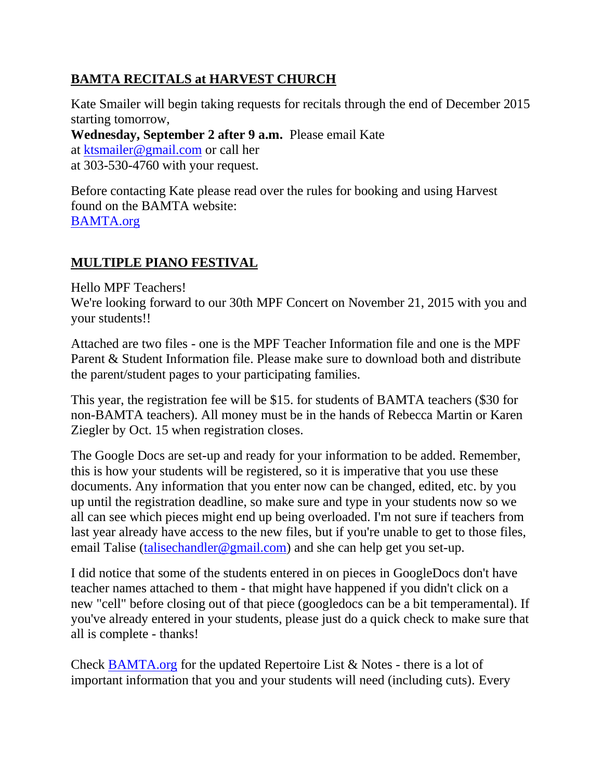# **BAMTA RECITALS at HARVEST CHURCH**

Kate Smailer will begin taking requests for recitals through the end of December 2015 starting tomorrow,

**Wednesday, September 2 after 9 a.m.** Please email Kate at [ktsmailer@gmail.com](mailto:ktsmailer@gmail.com) or call her at 303-530-4760 with your request.

Before contacting Kate please read over the rules for booking and using Harvest found on the BAMTA website: [BAMTA.org](http://bamta.org/)

## **MULTIPLE PIANO FESTIVAL**

Hello MPF Teachers!

We're looking forward to our 30th MPF Concert on November 21, 2015 with you and your students!!

Attached are two files - one is the MPF Teacher Information file and one is the MPF Parent & Student Information file. Please make sure to download both and distribute the parent/student pages to your participating families.

This year, the registration fee will be \$15. for students of BAMTA teachers (\$30 for non-BAMTA teachers). All money must be in the hands of Rebecca Martin or Karen Ziegler by Oct. 15 when registration closes.

The Google Docs are set-up and ready for your information to be added. Remember, this is how your students will be registered, so it is imperative that you use these documents. Any information that you enter now can be changed, edited, etc. by you up until the registration deadline, so make sure and type in your students now so we all can see which pieces might end up being overloaded. I'm not sure if teachers from last year already have access to the new files, but if you're unable to get to those files, email Talise [\(talisechandler@gmail.com\)](mailto:talisechandler@gmail.com) and she can help get you set-up.

I did notice that some of the students entered in on pieces in GoogleDocs don't have teacher names attached to them - that might have happened if you didn't click on a new "cell" before closing out of that piece (googledocs can be a bit temperamental). If you've already entered in your students, please just do a quick check to make sure that all is complete - thanks!

Check [BAMTA.org](http://bamta.org/) for the updated Repertoire List & Notes - there is a lot of important information that you and your students will need (including cuts). Every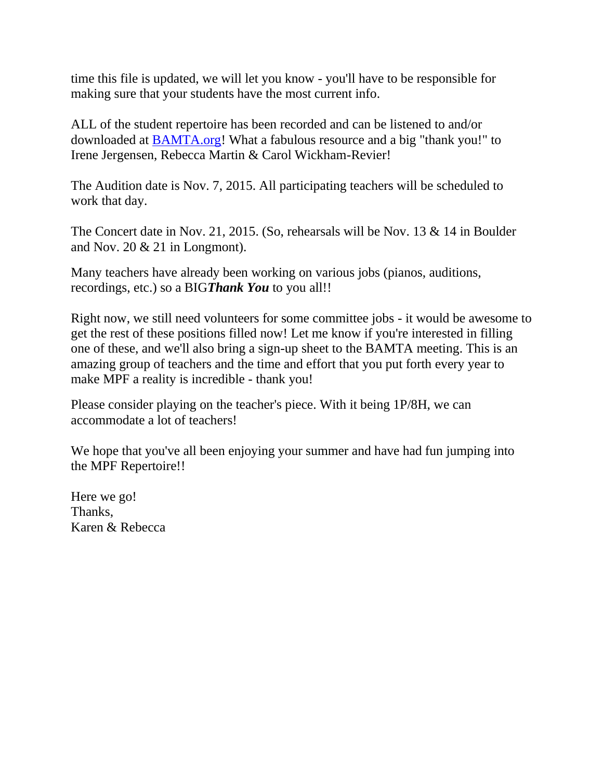time this file is updated, we will let you know - you'll have to be responsible for making sure that your students have the most current info.

ALL of the student repertoire has been recorded and can be listened to and/or downloaded at [BAMTA.org!](http://bamta.org/) What a fabulous resource and a big "thank you!" to Irene Jergensen, Rebecca Martin & Carol Wickham-Revier!

The Audition date is Nov. 7, 2015. All participating teachers will be scheduled to work that day.

The Concert date in Nov. 21, 2015. (So, rehearsals will be Nov. 13 & 14 in Boulder and Nov.  $20 \& 21$  in Longmont).

Many teachers have already been working on various jobs (pianos, auditions, recordings, etc.) so a BIG*Thank You* to you all!!

Right now, we still need volunteers for some committee jobs - it would be awesome to get the rest of these positions filled now! Let me know if you're interested in filling one of these, and we'll also bring a sign-up sheet to the BAMTA meeting. This is an amazing group of teachers and the time and effort that you put forth every year to make MPF a reality is incredible - thank you!

Please consider playing on the teacher's piece. With it being 1P/8H, we can accommodate a lot of teachers!

We hope that you've all been enjoying your summer and have had fun jumping into the MPF Repertoire!!

Here we go! Thanks, Karen & Rebecca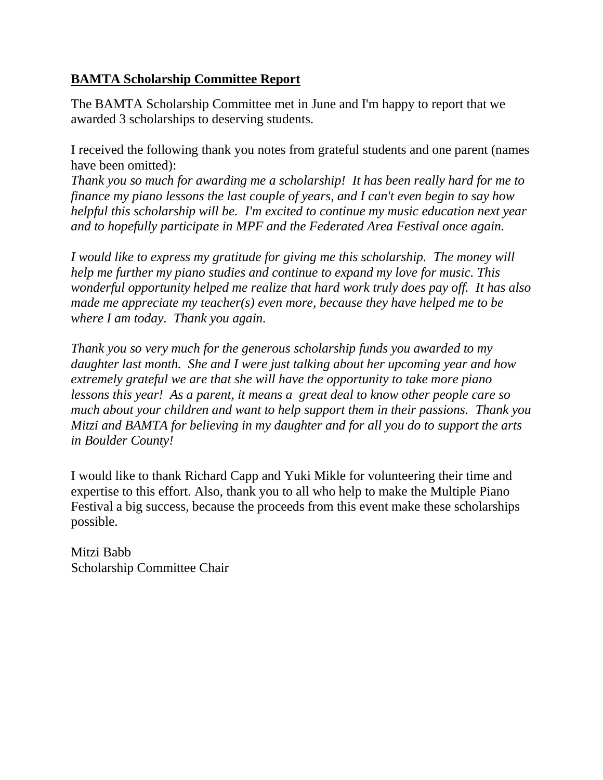#### **BAMTA Scholarship Committee Report**

The BAMTA Scholarship Committee met in June and I'm happy to report that we awarded 3 scholarships to deserving students.

I received the following thank you notes from grateful students and one parent (names have been omitted):

*Thank you so much for awarding me a scholarship! It has been really hard for me to finance my piano lessons the last couple of years, and I can't even begin to say how helpful this scholarship will be. I'm excited to continue my music education next year and to hopefully participate in MPF and the Federated Area Festival once again.*

*I would like to express my gratitude for giving me this scholarship. The money will help me further my piano studies and continue to expand my love for music. This wonderful opportunity helped me realize that hard work truly does pay off. It has also made me appreciate my teacher(s) even more, because they have helped me to be where I am today. Thank you again.*

*Thank you so very much for the generous scholarship funds you awarded to my daughter last month. She and I were just talking about her upcoming year and how extremely grateful we are that she will have the opportunity to take more piano lessons this year! As a parent, it means a great deal to know other people care so much about your children and want to help support them in their passions. Thank you Mitzi and BAMTA for believing in my daughter and for all you do to support the arts in Boulder County!*

I would like to thank Richard Capp and Yuki Mikle for volunteering their time and expertise to this effort. Also, thank you to all who help to make the Multiple Piano Festival a big success, because the proceeds from this event make these scholarships possible.

Mitzi Babb Scholarship Committee Chair